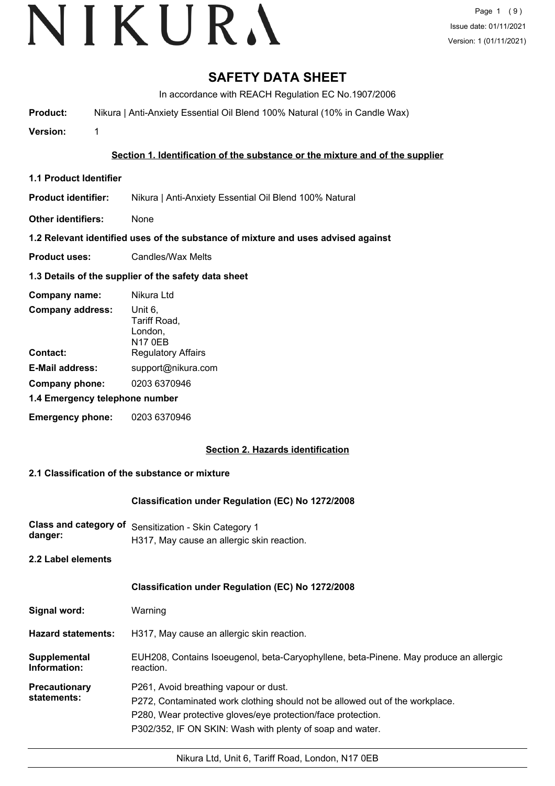# VIKURA

# **SAFETY DATA SHEET**

In accordance with REACH Regulation EC No.1907/2006

**Product:** Nikura | Anti-Anxiety Essential Oil Blend 100% Natural (10% in Candle Wax)

**Version:** 1

## **Section 1. Identification of the substance or the mixture and of the supplier**

**1.1 Product Identifier**

**Product identifier:** Nikura | Anti-Anxiety Essential Oil Blend 100% Natural

**Other identifiers:** None

## **1.2 Relevant identified uses of the substance of mixture and uses advised against**

**Product uses:** Candles/Wax Melts

## **1.3 Details of the supplier of the safety data sheet**

| Company name:                  | Nikura Ltd                                           |
|--------------------------------|------------------------------------------------------|
| <b>Company address:</b>        | Unit 6,<br>Tariff Road,<br>London,<br><b>N17 0EB</b> |
| Contact:                       | <b>Regulatory Affairs</b>                            |
| <b>E-Mail address:</b>         | support@nikura.com                                   |
| Company phone:                 | 0203 6370946                                         |
| 1.4 Emergency telephone number |                                                      |
| <b>Emergency phone:</b>        | 0203 6370946                                         |

## **Section 2. Hazards identification**

## **2.1 Classification of the substance or mixture**

## **Classification under Regulation (EC) No 1272/2008**

**Class and category of** Sensitization - Skin Category 1 **danger:** H317, May cause an allergic skin reaction.

**2.2 Label elements**

## **Classification under Regulation (EC) No 1272/2008**

| Signal word: | Warning |
|--------------|---------|
|--------------|---------|

**Hazard statements:** H317, May cause an allergic skin reaction.

EUH208, Contains Isoeugenol, beta-Caryophyllene, beta-Pinene. May produce an allergic reaction. **Supplemental Information:**

**Precautionary statements:** P261, Avoid breathing vapour or dust.

P272, Contaminated work clothing should not be allowed out of the workplace.

P280, Wear protective gloves/eye protection/face protection.

P302/352, IF ON SKIN: Wash with plenty of soap and water.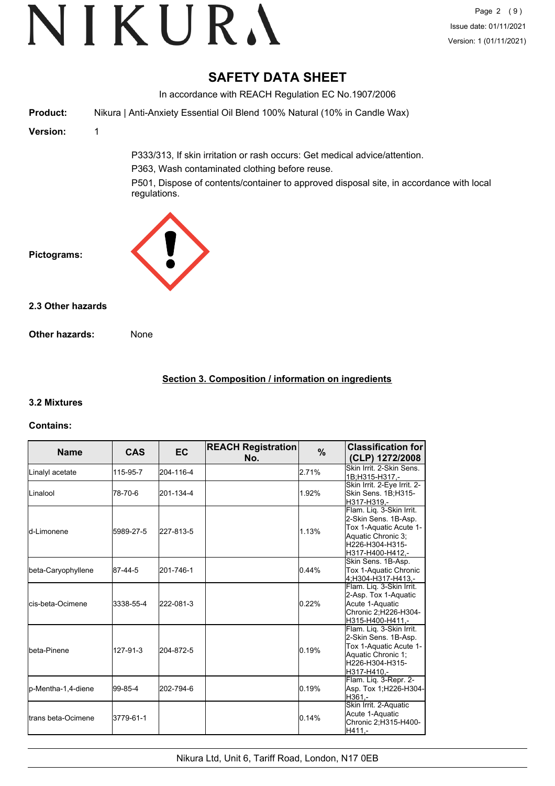# **SAFETY DATA SHEET**

In accordance with REACH Regulation EC No.1907/2006 **Product:** Nikura | Anti-Anxiety Essential Oil Blend 100% Natural (10% in Candle Wax) **Version:** 1 P333/313, If skin irritation or rash occurs: Get medical advice/attention. P363, Wash contaminated clothing before reuse. P501, Dispose of contents/container to approved disposal site, in accordance with local regulations. **Pictograms: Other hazards:** None **2.3 Other hazards**

## **Section 3. Composition / information on ingredients**

## **3.2 Mixtures**

## **Contains:**

| <b>Name</b>                 | <b>CAS</b> | EC        | <b>REACH Registration</b><br>No. | %     | <b>Classification for</b><br>(CLP) 1272/2008                                                                                            |
|-----------------------------|------------|-----------|----------------------------------|-------|-----------------------------------------------------------------------------------------------------------------------------------------|
| Linalyl acetate             | 115-95-7   | 204-116-4 |                                  | 2.71% | Skin Irrit. 2-Skin Sens.<br>1B;H315-H317.-                                                                                              |
| ILinalool                   | 78-70-6    | 201-134-4 |                                  | 1.92% | Skin Irrit. 2-Eye Irrit. 2-<br>Skin Sens. 1B;H315-<br>H317-H319.-                                                                       |
| <b>l</b> d-Limonene         | 5989-27-5  | 227-813-5 |                                  | 1.13% | Flam. Liq. 3-Skin Irrit.<br>2-Skin Sens. 1B-Asp.<br>Tox 1-Aquatic Acute 1-<br>Aquatic Chronic 3;<br>H226-H304-H315-<br>H317-H400-H412.- |
| beta-Caryophyllene          | 87-44-5    | 201-746-1 |                                  | 0.44% | Skin Sens. 1B-Asp.<br>Tox 1-Aquatic Chronic<br>4:H304-H317-H413.-                                                                       |
| lcis-beta-Ocimene           | 3338-55-4  | 222-081-3 |                                  | 0.22% | Flam. Lig. 3-Skin Irrit.<br>2-Asp. Tox 1-Aquatic<br>Acute 1-Aquatic<br>Chronic 2;H226-H304-<br>H315-H400-H411.-                         |
| <b>I</b> beta-Pinene        | 127-91-3   | 204-872-5 |                                  | 0.19% | Flam. Liq. 3-Skin Irrit.<br>2-Skin Sens. 1B-Asp.<br>Tox 1-Aquatic Acute 1-<br>Aquatic Chronic 1:<br>H226-H304-H315-<br>H317-H410,-      |
| p-Mentha-1,4-diene          | 99-85-4    | 202-794-6 |                                  | 0.19% | Flam. Liq. 3-Repr. 2-<br>Asp. Tox 1;H226-H304-<br>H361,-                                                                                |
| <b>I</b> trans beta-Ocimene | 3779-61-1  |           |                                  | 0.14% | Skin Irrit. 2-Aquatic<br>Acute 1-Aquatic<br>Chronic 2; H315-H400-<br>H411,-                                                             |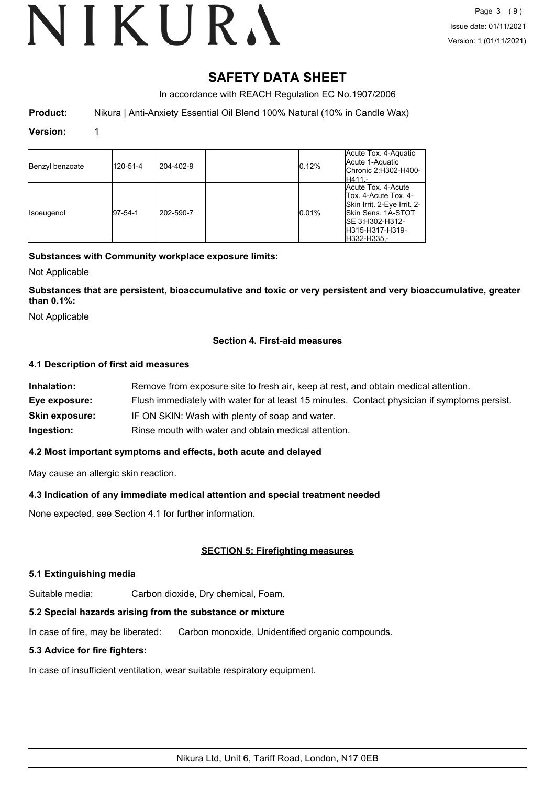# **SAFETY DATA SHEET**

In accordance with REACH Regulation EC No.1907/2006

**Product:** Nikura | Anti-Anxiety Essential Oil Blend 100% Natural (10% in Candle Wax)

#### **Version:** 1

| Benzyl benzoate | 120-51-4 | 204-402-9 | 0.12% | Acute Tox. 4-Aquatic<br>Acute 1-Aquatic<br>Chronic 2;H302-H400-<br>lH411.-                                                                                      |
|-----------------|----------|-----------|-------|-----------------------------------------------------------------------------------------------------------------------------------------------------------------|
| Isoeugenol      | 97-54-1  | 202-590-7 | 0.01% | Acute Tox, 4-Acute<br>Tox. 4-Acute Tox. 4-<br>Skin Irrit. 2-Eye Irrit. 2-<br><b>ISkin Sens. 1A-STOT</b><br>ISE 3:H302-H312-<br>IH315-H317-H319-<br>lH332-H335.- |

#### **Substances with Community workplace exposure limits:**

Not Applicable

**Substances that are persistent, bioaccumulative and toxic or very persistent and very bioaccumulative, greater than 0.1%:**

Not Applicable

#### **Section 4. First-aid measures**

#### **4.1 Description of first aid measures**

| Inhalation:           | Remove from exposure site to fresh air, keep at rest, and obtain medical attention.          |
|-----------------------|----------------------------------------------------------------------------------------------|
| Eye exposure:         | Flush immediately with water for at least 15 minutes. Contact physician if symptoms persist. |
| <b>Skin exposure:</b> | IF ON SKIN: Wash with plenty of soap and water.                                              |
| Ingestion:            | Rinse mouth with water and obtain medical attention.                                         |

#### **4.2 Most important symptoms and effects, both acute and delayed**

May cause an allergic skin reaction.

#### **4.3 Indication of any immediate medical attention and special treatment needed**

None expected, see Section 4.1 for further information.

#### **SECTION 5: Firefighting measures**

#### **5.1 Extinguishing media**

Suitable media: Carbon dioxide, Dry chemical, Foam.

#### **5.2 Special hazards arising from the substance or mixture**

In case of fire, may be liberated: Carbon monoxide, Unidentified organic compounds.

#### **5.3 Advice for fire fighters:**

In case of insufficient ventilation, wear suitable respiratory equipment.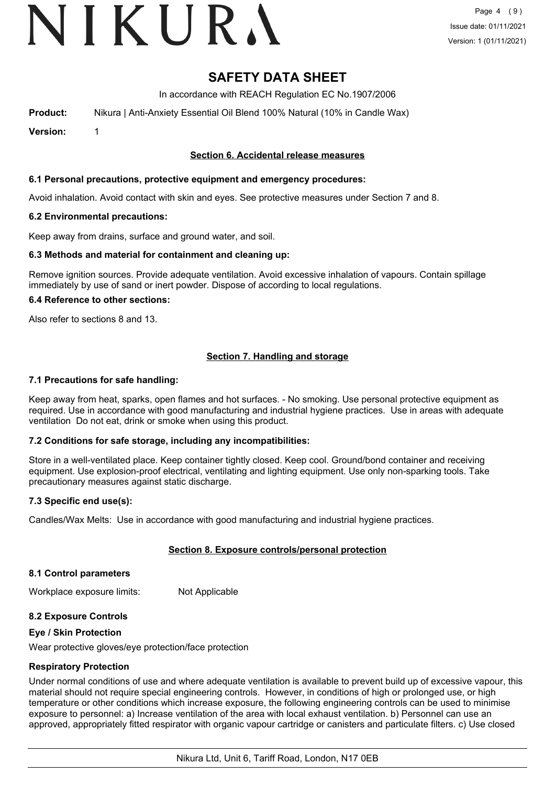# VIKURA

# **SAFETY DATA SHEET**

In accordance with REACH Regulation EC No.1907/2006

**Product:** Nikura | Anti-Anxiety Essential Oil Blend 100% Natural (10% in Candle Wax)

**Version:** 1

#### **Section 6. Accidental release measures**

#### **6.1 Personal precautions, protective equipment and emergency procedures:**

Avoid inhalation. Avoid contact with skin and eyes. See protective measures under Section 7 and 8.

#### **6.2 Environmental precautions:**

Keep away from drains, surface and ground water, and soil.

#### **6.3 Methods and material for containment and cleaning up:**

Remove ignition sources. Provide adequate ventilation. Avoid excessive inhalation of vapours. Contain spillage immediately by use of sand or inert powder. Dispose of according to local regulations.

#### **6.4 Reference to other sections:**

Also refer to sections 8 and 13.

## **Section 7. Handling and storage**

#### **7.1 Precautions for safe handling:**

Keep away from heat, sparks, open flames and hot surfaces. - No smoking. Use personal protective equipment as required. Use in accordance with good manufacturing and industrial hygiene practices. Use in areas with adequate ventilation Do not eat, drink or smoke when using this product.

#### **7.2 Conditions for safe storage, including any incompatibilities:**

Store in a well-ventilated place. Keep container tightly closed. Keep cool. Ground/bond container and receiving equipment. Use explosion-proof electrical, ventilating and lighting equipment. Use only non-sparking tools. Take precautionary measures against static discharge.

#### **7.3 Specific end use(s):**

Candles/Wax Melts: Use in accordance with good manufacturing and industrial hygiene practices.

#### **Section 8. Exposure controls/personal protection**

#### **8.1 Control parameters**

Workplace exposure limits: Not Applicable

#### **8.2 Exposure Controls**

#### **Eye / Skin Protection**

Wear protective gloves/eye protection/face protection

#### **Respiratory Protection**

Under normal conditions of use and where adequate ventilation is available to prevent build up of excessive vapour, this material should not require special engineering controls. However, in conditions of high or prolonged use, or high temperature or other conditions which increase exposure, the following engineering controls can be used to minimise exposure to personnel: a) Increase ventilation of the area with local exhaust ventilation. b) Personnel can use an approved, appropriately fitted respirator with organic vapour cartridge or canisters and particulate filters. c) Use closed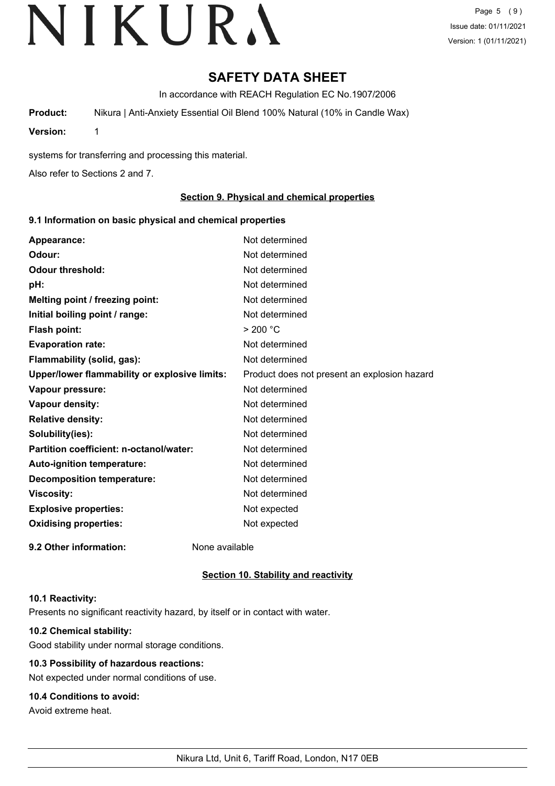Page 5 (9) Issue date: 01/11/2021 Version: 1 (01/11/2021)

# **SAFETY DATA SHEET**

In accordance with REACH Regulation EC No.1907/2006

**Product:** Nikura | Anti-Anxiety Essential Oil Blend 100% Natural (10% in Candle Wax)

**Version:** 1

systems for transferring and processing this material.

Also refer to Sections 2 and 7.

#### **Section 9. Physical and chemical properties**

#### **9.1 Information on basic physical and chemical properties**

| Appearance:                                   | Not determined                               |
|-----------------------------------------------|----------------------------------------------|
| Odour:                                        | Not determined                               |
| <b>Odour threshold:</b>                       | Not determined                               |
| pH:                                           | Not determined                               |
| Melting point / freezing point:               | Not determined                               |
| Initial boiling point / range:                | Not determined                               |
| <b>Flash point:</b>                           | > 200 °C                                     |
| <b>Evaporation rate:</b>                      | Not determined                               |
| Flammability (solid, gas):                    | Not determined                               |
| Upper/lower flammability or explosive limits: | Product does not present an explosion hazard |
| Vapour pressure:                              | Not determined                               |
| Vapour density:                               | Not determined                               |
| <b>Relative density:</b>                      | Not determined                               |
| Solubility(ies):                              | Not determined                               |
| Partition coefficient: n-octanol/water:       | Not determined                               |
| Auto-ignition temperature:                    | Not determined                               |
| <b>Decomposition temperature:</b>             | Not determined                               |
| <b>Viscosity:</b>                             | Not determined                               |
| <b>Explosive properties:</b>                  | Not expected                                 |
| <b>Oxidising properties:</b>                  | Not expected                                 |
| 9.2 Other information:                        | None available                               |

#### **Section 10. Stability and reactivity**

#### **10.1 Reactivity:**

Presents no significant reactivity hazard, by itself or in contact with water.

## **10.2 Chemical stability:**

Good stability under normal storage conditions.

## **10.3 Possibility of hazardous reactions:**

Not expected under normal conditions of use.

## **10.4 Conditions to avoid:**

Avoid extreme heat.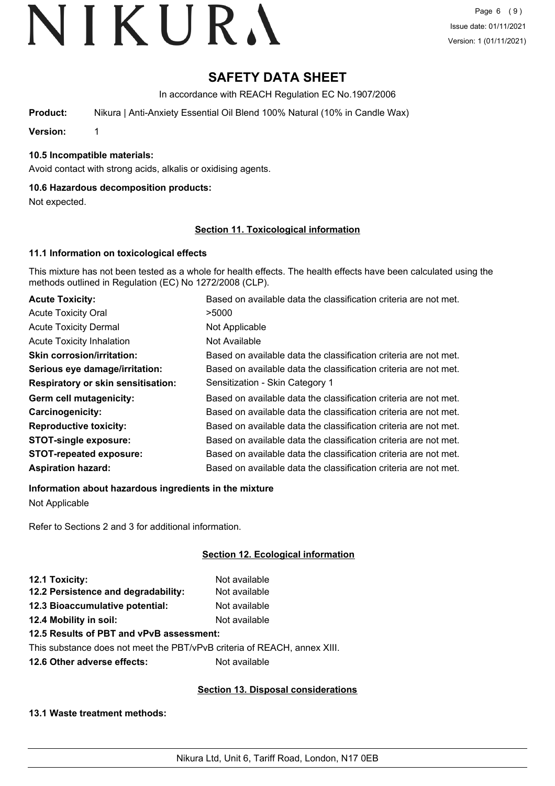# **SAFETY DATA SHEET**

In accordance with REACH Regulation EC No.1907/2006

**Product:** Nikura | Anti-Anxiety Essential Oil Blend 100% Natural (10% in Candle Wax)

**Version:** 1

#### **10.5 Incompatible materials:**

Avoid contact with strong acids, alkalis or oxidising agents.

#### **10.6 Hazardous decomposition products:**

Not expected.

#### **Section 11. Toxicological information**

#### **11.1 Information on toxicological effects**

This mixture has not been tested as a whole for health effects. The health effects have been calculated using the methods outlined in Regulation (EC) No 1272/2008 (CLP).

| <b>Acute Toxicity:</b>                    | Based on available data the classification criteria are not met. |
|-------------------------------------------|------------------------------------------------------------------|
| <b>Acute Toxicity Oral</b>                | >5000                                                            |
| <b>Acute Toxicity Dermal</b>              | Not Applicable                                                   |
| <b>Acute Toxicity Inhalation</b>          | Not Available                                                    |
| <b>Skin corrosion/irritation:</b>         | Based on available data the classification criteria are not met. |
| Serious eye damage/irritation:            | Based on available data the classification criteria are not met. |
| <b>Respiratory or skin sensitisation:</b> | Sensitization - Skin Category 1                                  |
| Germ cell mutagenicity:                   | Based on available data the classification criteria are not met. |
| Carcinogenicity:                          | Based on available data the classification criteria are not met. |
| <b>Reproductive toxicity:</b>             | Based on available data the classification criteria are not met. |
| <b>STOT-single exposure:</b>              | Based on available data the classification criteria are not met. |
| <b>STOT-repeated exposure:</b>            | Based on available data the classification criteria are not met. |
| <b>Aspiration hazard:</b>                 | Based on available data the classification criteria are not met. |

**Information about hazardous ingredients in the mixture**

Not Applicable

Refer to Sections 2 and 3 for additional information.

## **Section 12. Ecological information**

| 12.1 Toxicity:                                                           | Not available |
|--------------------------------------------------------------------------|---------------|
| 12.2 Persistence and degradability:                                      | Not available |
| 12.3 Bioaccumulative potential:                                          | Not available |
| 12.4 Mobility in soil:                                                   | Not available |
| 12.5 Results of PBT and vPvB assessment:                                 |               |
| This substance does not meet the PBT/vPvB criteria of REACH, annex XIII. |               |
|                                                                          |               |

**12.6 Other adverse effects:** Not available

#### **Section 13. Disposal considerations**

#### **13.1 Waste treatment methods:**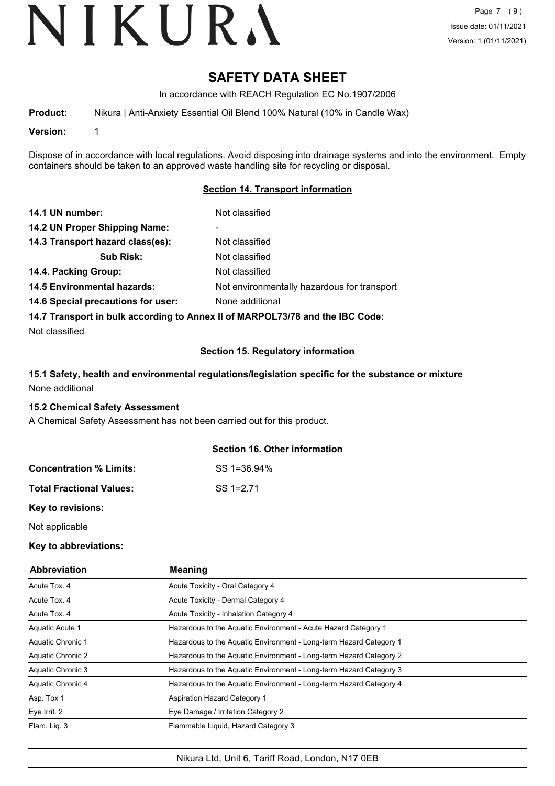# **SAFETY DATA SHEET**

In accordance with REACH Regulation EC No.1907/2006

**Product:** Nikura | Anti-Anxiety Essential Oil Blend 100% Natural (10% in Candle Wax)

**Version:** 1

Dispose of in accordance with local regulations. Avoid disposing into drainage systems and into the environment. Empty containers should be taken to an approved waste handling site for recycling or disposal.

#### **Section 14. Transport information**

| 14.1 UN number:                    | Not classified                                                                |
|------------------------------------|-------------------------------------------------------------------------------|
| 14.2 UN Proper Shipping Name:      |                                                                               |
| 14.3 Transport hazard class(es):   | Not classified                                                                |
| <b>Sub Risk:</b>                   | Not classified                                                                |
| 14.4. Packing Group:               | Not classified                                                                |
| <b>14.5 Environmental hazards:</b> | Not environmentally hazardous for transport                                   |
| 14.6 Special precautions for user: | None additional                                                               |
|                                    | 14.7 Transport in bulk according to Annex II of MARPOL73/78 and the IBC Code: |

Not classified

#### **Section 15. Regulatory information**

## **15.1 Safety, health and environmental regulations/legislation specific for the substance or mixture** None additional

#### **15.2 Chemical Safety Assessment**

A Chemical Safety Assessment has not been carried out for this product.

#### **Section 16. Other information**

| <b>Concentration % Limits:</b>  | SS 1=36.94%  |
|---------------------------------|--------------|
| <b>Total Fractional Values:</b> | $SS = 12.71$ |

**Key to revisions:**

Not applicable

#### **Key to abbreviations:**

| <b>Abbreviation</b> | <b>Meaning</b>                                                     |
|---------------------|--------------------------------------------------------------------|
| Acute Tox. 4        | Acute Toxicity - Oral Category 4                                   |
| Acute Tox, 4        | Acute Toxicity - Dermal Category 4                                 |
| Acute Tox. 4        | Acute Toxicity - Inhalation Category 4                             |
| Aquatic Acute 1     | Hazardous to the Aquatic Environment - Acute Hazard Category 1     |
| Aquatic Chronic 1   | Hazardous to the Aquatic Environment - Long-term Hazard Category 1 |
| Aquatic Chronic 2   | Hazardous to the Aquatic Environment - Long-term Hazard Category 2 |
| Aquatic Chronic 3   | Hazardous to the Aquatic Environment - Long-term Hazard Category 3 |
| Aquatic Chronic 4   | Hazardous to the Aquatic Environment - Long-term Hazard Category 4 |
| Asp. Tox 1          | Aspiration Hazard Category 1                                       |
| Eye Irrit. 2        | Eye Damage / Irritation Category 2                                 |
| Flam. Liq. 3        | Flammable Liquid, Hazard Category 3                                |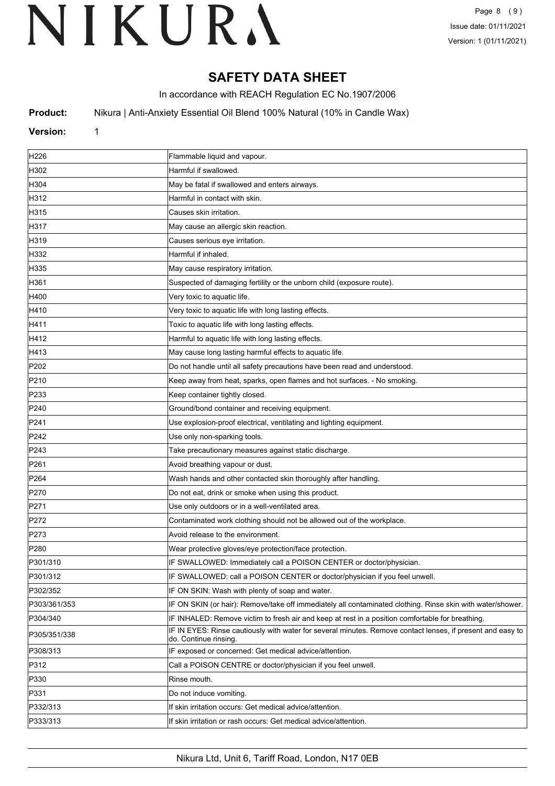# **SAFETY DATA SHEET**

In accordance with REACH Regulation EC No.1907/2006

**Product:** Nikura | Anti-Anxiety Essential Oil Blend 100% Natural (10% in Candle Wax)

## **Version:** 1

| H <sub>226</sub> | Flammable liquid and vapour.                                                                                                       |
|------------------|------------------------------------------------------------------------------------------------------------------------------------|
| H302             | Harmful if swallowed.                                                                                                              |
| H304             | May be fatal if swallowed and enters airways.                                                                                      |
| H312             | Harmful in contact with skin.                                                                                                      |
| H315             | Causes skin irritation.                                                                                                            |
| H317             | May cause an allergic skin reaction.                                                                                               |
| H319             | Causes serious eye irritation.                                                                                                     |
| H332             | Harmful if inhaled.                                                                                                                |
| H335             | May cause respiratory irritation.                                                                                                  |
| H361             | Suspected of damaging fertility or the unborn child (exposure route).                                                              |
| H400             | Very toxic to aquatic life.                                                                                                        |
| H410             | Very toxic to aquatic life with long lasting effects.                                                                              |
| H411             | Toxic to aquatic life with long lasting effects.                                                                                   |
| H412             | Harmful to aquatic life with long lasting effects.                                                                                 |
| H413             | May cause long lasting harmful effects to aquatic life.                                                                            |
| P202             | Do not handle until all safety precautions have been read and understood.                                                          |
| P210             | Keep away from heat, sparks, open flames and hot surfaces. - No smoking.                                                           |
| P233             | Keep container tightly closed.                                                                                                     |
| P <sub>240</sub> | Ground/bond container and receiving equipment.                                                                                     |
| P241             | Use explosion-proof electrical, ventilating and lighting equipment.                                                                |
| P242             | Use only non-sparking tools.                                                                                                       |
| P243             | Take precautionary measures against static discharge.                                                                              |
| P <sub>261</sub> | Avoid breathing vapour or dust.                                                                                                    |
| P <sub>264</sub> | Wash hands and other contacted skin thoroughly after handling.                                                                     |
| P270             | Do not eat, drink or smoke when using this product.                                                                                |
| P <sub>271</sub> | Use only outdoors or in a well-ventilated area.                                                                                    |
| P272             | Contaminated work clothing should not be allowed out of the workplace.                                                             |
| P273             | Avoid release to the environment.                                                                                                  |
| P280             | Wear protective gloves/eye protection/face protection.                                                                             |
| P301/310         | IF SWALLOWED: Immediately call a POISON CENTER or doctor/physician.                                                                |
| P301/312         | IF SWALLOWED: call a POISON CENTER or doctor/physician if you feel unwell.                                                         |
| P302/352         | IF ON SKIN: Wash with plenty of soap and water.                                                                                    |
| P303/361/353     | IF ON SKIN (or hair): Remove/take off immediately all contaminated clothing. Rinse skin with water/shower.                         |
| P304/340         | IF INHALED: Remove victim to fresh air and keep at rest in a position comfortable for breathing.                                   |
| P305/351/338     | IF IN EYES: Rinse cautiously with water for several minutes. Remove contact lenses, if present and easy to<br>do. Continue rinsing |
| P308/313         | IF exposed or concerned: Get medical advice/attention.                                                                             |
| P312             | Call a POISON CENTRE or doctor/physician if you feel unwell.                                                                       |
| P330             | Rinse mouth.                                                                                                                       |
| P331             | Do not induce vomiting.                                                                                                            |
| P332/313         | If skin irritation occurs: Get medical advice/attention.                                                                           |
| P333/313         | If skin irritation or rash occurs: Get medical advice/attention.                                                                   |